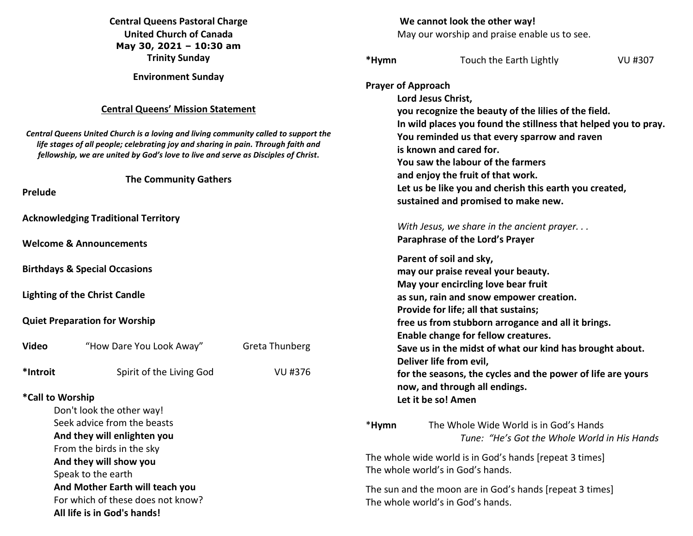|                                                                                                                                                                                                                                                                                                                                        | <b>Central Queens Pastoral Charge</b><br><b>United Church of Canada</b><br>May 30, 2021 - 10:30 am |                                  | We cannot look the other way!<br>May our worship and praise enable us to see.                                                                                                                                                                                                                                                                                                                                                    |                                                                                        |         |
|----------------------------------------------------------------------------------------------------------------------------------------------------------------------------------------------------------------------------------------------------------------------------------------------------------------------------------------|----------------------------------------------------------------------------------------------------|----------------------------------|----------------------------------------------------------------------------------------------------------------------------------------------------------------------------------------------------------------------------------------------------------------------------------------------------------------------------------------------------------------------------------------------------------------------------------|----------------------------------------------------------------------------------------|---------|
|                                                                                                                                                                                                                                                                                                                                        | <b>Trinity Sunday</b>                                                                              |                                  | *Hymn                                                                                                                                                                                                                                                                                                                                                                                                                            | Touch the Earth Lightly                                                                | VU #307 |
| <b>Environment Sunday</b><br><b>Central Queens' Mission Statement</b><br>Central Queens United Church is a loving and living community called to support the<br>life stages of all people; celebrating joy and sharing in pain. Through faith and<br>fellowship, we are united by God's love to live and serve as Disciples of Christ. |                                                                                                    |                                  | <b>Prayer of Approach</b><br>Lord Jesus Christ,<br>you recognize the beauty of the lilies of the field.<br>In wild places you found the stillness that helped you to pray.<br>You reminded us that every sparrow and raven<br>is known and cared for.<br>You saw the labour of the farmers<br>and enjoy the fruit of that work.<br>Let us be like you and cherish this earth you created,<br>sustained and promised to make new. |                                                                                        |         |
| <b>The Community Gathers</b><br><b>Prelude</b>                                                                                                                                                                                                                                                                                         |                                                                                                    |                                  |                                                                                                                                                                                                                                                                                                                                                                                                                                  |                                                                                        |         |
|                                                                                                                                                                                                                                                                                                                                        | <b>Acknowledging Traditional Territory</b>                                                         |                                  |                                                                                                                                                                                                                                                                                                                                                                                                                                  | With Jesus, we share in the ancient prayer                                             |         |
|                                                                                                                                                                                                                                                                                                                                        | <b>Welcome &amp; Announcements</b>                                                                 |                                  | Paraphrase of the Lord's Prayer                                                                                                                                                                                                                                                                                                                                                                                                  |                                                                                        |         |
| <b>Birthdays &amp; Special Occasions</b>                                                                                                                                                                                                                                                                                               |                                                                                                    |                                  | Parent of soil and sky,<br>may our praise reveal your beauty.<br>May your encircling love bear fruit<br>as sun, rain and snow empower creation.<br>Provide for life; all that sustains;<br>free us from stubborn arrogance and all it brings.<br>Enable change for fellow creatures.                                                                                                                                             |                                                                                        |         |
| <b>Lighting of the Christ Candle</b><br><b>Quiet Preparation for Worship</b>                                                                                                                                                                                                                                                           |                                                                                                    |                                  |                                                                                                                                                                                                                                                                                                                                                                                                                                  |                                                                                        |         |
| <b>Video</b><br>*Introit                                                                                                                                                                                                                                                                                                               | "How Dare You Look Away"<br>Spirit of the Living God                                               | <b>Greta Thunberg</b><br>VU #376 | Save us in the midst of what our kind has brought about.<br>Deliver life from evil,<br>for the seasons, the cycles and the power of life are yours                                                                                                                                                                                                                                                                               |                                                                                        |         |
| *Call to Worship<br>Don't look the other way!                                                                                                                                                                                                                                                                                          |                                                                                                    |                                  | now, and through all endings.<br>Let it be so! Amen                                                                                                                                                                                                                                                                                                                                                                              |                                                                                        |         |
| Seek advice from the beasts<br>And they will enlighten you                                                                                                                                                                                                                                                                             |                                                                                                    |                                  | *Hymn                                                                                                                                                                                                                                                                                                                                                                                                                            | The Whole Wide World is in God's Hands<br>Tune: "He's Got the Whole World in His Hands |         |
| From the birds in the sky<br>And they will show you<br>Speak to the earth                                                                                                                                                                                                                                                              |                                                                                                    |                                  | The whole wide world is in God's hands [repeat 3 times]<br>The whole world's in God's hands.                                                                                                                                                                                                                                                                                                                                     |                                                                                        |         |
| And Mother Earth will teach you<br>For which of these does not know?<br>All life is in God's hands!                                                                                                                                                                                                                                    |                                                                                                    |                                  | The sun and the moon are in God's hands [repeat 3 times]<br>The whole world's in God's hands.                                                                                                                                                                                                                                                                                                                                    |                                                                                        |         |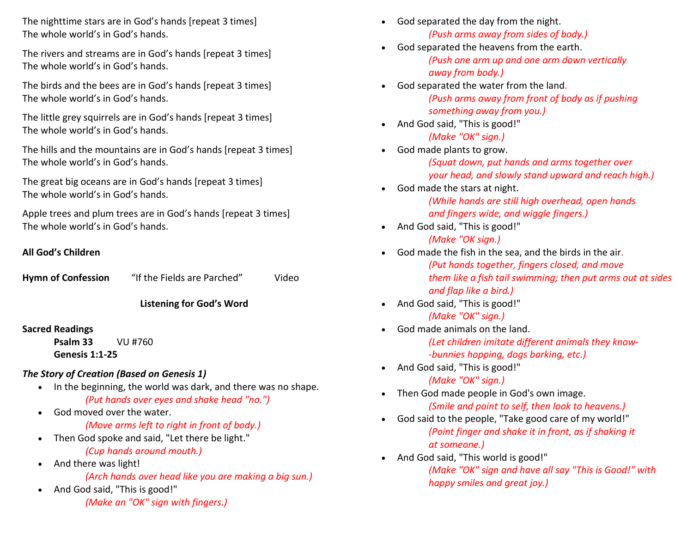The nighttime stars are in God's hands [repeat 3 times] The whole world's in God's hands.

The rivers and streams are in God's hands [repeat 3 times] The whole world's in God's hands.

The birds and the bees are in God's hands [repeat 3 times] The whole world's in God's hands.

The little grey squirrels are in God's hands [repeat 3 times] The whole world's in God's hands.

The hills and the mountains are in God's hands [repeat 3 times] The whole world's in God's hands.

The great big oceans are in God's hands [repeat 3 times] The whole world's in God's hands.

Apple trees and plum trees are in God's hands [repeat 3 times] The whole world's in God's hands.

## **All God's Children**

| <b>Hymn of Confession</b> | "If the Fields are Parched" | Video |
|---------------------------|-----------------------------|-------|
|                           |                             |       |

# **Listening for God's Word**

# **Sacred Readings**

 **Psalm 33** VU #760 **Genesis 1:1-25** 

# *The Story of Creation (Based on Genesis 1)*

- In the beginning, the world was dark, and there was no shape. *(Put hands over eyes and shake head "no.")*
- God moved over the water. *(Move arms left to right in front of body.)*
- Then God spoke and said, "Let there be light." *(Cup hands around mouth.)*
- And there was light!  *(Arch hands over head like you are making a big sun.)*
- And God said, "This is good!" *(Make an "OK" sign with fingers.)*
- God separated the day from the night. *(Push arms away from sides of body.)*
- God separated the heavens from the earth. *(Push one arm up and one arm down vertically away from body.)*
- $\bullet$  God separated the water from the land.  *(Push arms away from front of body as if pushing something away from you.)*
- And God said, "This is good!" *(Make "OK" sign.)*
- God made plants to grow.

*(Squat down, put hands and arms together over your head, and slowly stand upward and reach high.)*

- God made the stars at night. *(While hands are still high overhead, open hands and fingers wide, and wiggle fingers.)*
- And God said, "This is good!" *(Make "OK sign.)*
- God made the fish in the sea, and the birds in the air.  *(Put hands together, fingers closed, and move them like a fish tail swimming; then put arms out at sides and flap like a bird.)*
- And God said, "This is good!" *(Make "OK" sign.)*

.

- God made animals on the land. *(Let children imitate different animals they know- -bunnies hopping, dogs barking, etc.)*
- And God said, "This is good!"
	- *(Make "OK" sign.)*
- Then God made people in God's own image. *(Smile and point to self, then look to heavens.)*
- God said to the people, "Take good care of my world!" *(Point finger and shake it in front, as if shaking it at someone.)*
- And God said, "This world is good!" *(Make "OK" sign and have all say "This is Good!" with happy smiles and great joy.)*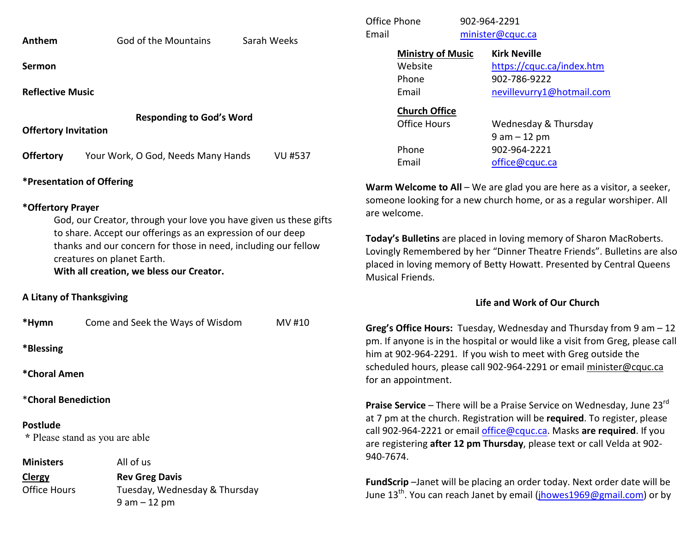| Anthem |
|--------|
|--------|

**Sermon** 

**Reflective Music** 

**Responding to God's Word** 

**Offertory Invitation** 

**Offertory** Your Work, O God, Needs Many Hands VU #537

# **\*Presentation of Offering**

#### **\*Offertory Prayer**

God, our Creator, through your love you have given us these gifts to share. Accept our offerings as an expression of our deep thanks and our concern for those in need, including our fellow creatures on planet Earth.

**With all creation, we bless our Creator.** 

## **A Litany of Thanksgiving**

| *Hymn                                             | Come and Seek the Ways of Wisdom | MV #10 |  |  |  |  |  |
|---------------------------------------------------|----------------------------------|--------|--|--|--|--|--|
| *Blessing                                         |                                  |        |  |  |  |  |  |
| *Choral Amen                                      |                                  |        |  |  |  |  |  |
| *Choral Benediction                               |                                  |        |  |  |  |  |  |
| <b>Postlude</b><br>* Please stand as you are able |                                  |        |  |  |  |  |  |
| <b>Ministers</b>                                  | All of us                        |        |  |  |  |  |  |
| <b>Clergy</b>                                     | <b>Rev Greg Davis</b>            |        |  |  |  |  |  |
| <b>Office Hours</b>                               | Tuesday, Wednesday & Thursday    |        |  |  |  |  |  |
|                                                   | $9 am - 12 pm$                   |        |  |  |  |  |  |

| Office Phone<br>Email |                                                       | 902-964-2291<br>minister@cquc.ca |                                                                                               |  |
|-----------------------|-------------------------------------------------------|----------------------------------|-----------------------------------------------------------------------------------------------|--|
|                       | <b>Ministry of Music</b><br>Website<br>Phone<br>Email |                                  | <b>Kirk Neville</b><br>https://cquc.ca/index.htm<br>902-786-9222<br>nevillevurry1@hotmail.com |  |
|                       | <b>Church Office</b><br><b>Office Hours</b><br>Phone  |                                  | Wednesday & Thursday<br>$9$ am $-12$ pm<br>902-964-2221                                       |  |
|                       | Email                                                 |                                  | office@cquc.ca                                                                                |  |

**Warm Welcome to All** – We are glad you are here as a visitor, a seeker,someone looking for a new church home, or as a regular worshiper. All are welcome.

**Today's Bulletins** are placed in loving memory of Sharon MacRoberts. Lovingly Remembered by her "Dinner Theatre Friends". Bulletins are also placed in loving memory of Betty Howatt. Presented by Central Queens Musical Friends.

## **Life and Work of Our Church**

**Greg's Office Hours:** Tuesday, Wednesday and Thursday from 9 am – 12 pm. If anyone is in the hospital or would like a visit from Greg, please call him at 902-964-2291. If you wish to meet with Greg outside the scheduled hours, please call 902-964-2291 or email minister@cquc.ca for an appointment.

**Praise Service** – There will be a Praise Service on Wednesday, June 23rd at 7 pm at the church. Registration will be **required**. To register, please call 902-964-2221 or email office@cquc.ca. Masks **are required**. If you are registering **after 12 pm Thursday**, please text or call Velda at 902- 940-7674.

**FundScrip** –Janet will be placing an order today. Next order date will be June 13<sup>th</sup>. You can reach Janet by email (<u>ihowes1969@gmail.com</u>) or by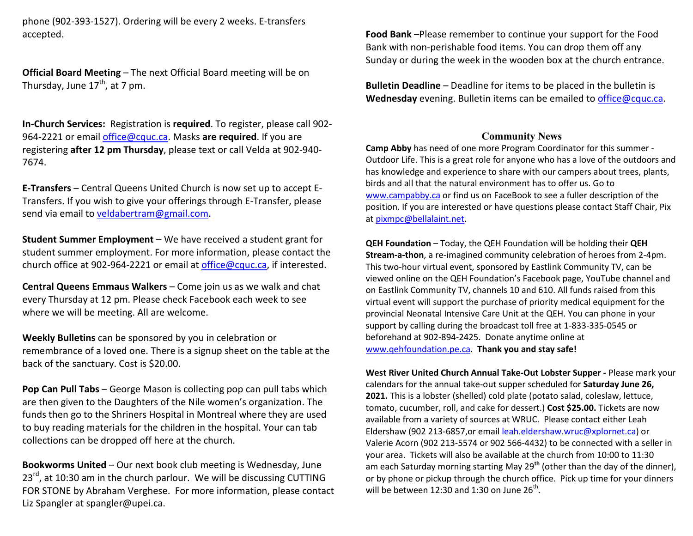phone (902-393-1527). Ordering will be every 2 weeks. E-transfers accepted.

**Official Board Meeting** – The next Official Board meeting will be on Thursday, June  $17^{th}$ , at 7 pm.

**In-Church Services:** Registration is **required**. To register, please call 902-964-2221 or email office@cquc.ca. Masks **are required**. If you are registering **after 12 pm Thursday**, please text or call Velda at 902-940- 7674.

**E-Transfers** – Central Queens United Church is now set up to accept E-Transfers. If you wish to give your offerings through E-Transfer, please send via email to veldabertram@gmail.com.

**Student Summer Employment** – We have received a student grant for student summer employment. For more information, please contact the church office at 902-964-2221 or email at office@cquc.ca, if interested.

**Central Queens Emmaus Walkers** – Come join us as we walk and chat every Thursday at 12 pm. Please check Facebook each week to see where we will be meeting. All are welcome.

**Weekly Bulletins** can be sponsored by you in celebration or remembrance of a loved one. There is a signup sheet on the table at the back of the sanctuary. Cost is \$20.00.

**Pop Can Pull Tabs** – George Mason is collecting pop can pull tabs which are then given to the Daughters of the Nile women's organization. The funds then go to the Shriners Hospital in Montreal where they are used to buy reading materials for the children in the hospital. Your can tab collections can be dropped off here at the church.

**Bookworms United** – Our next book club meeting is Wednesday, June 23<sup>rd</sup>, at 10:30 am in the church parlour. We will be discussing CUTTING FOR STONE by Abraham Verghese. For more information, please contact Liz Spangler at spangler@upei.ca.

**Food Bank** –Please remember to continue your support for the Food Bank with non-perishable food items. You can drop them off any Sunday or during the week in the wooden box at the church entrance.

**Bulletin Deadline** – Deadline for items to be placed in the bulletin is **Wednesday** evening. Bulletin items can be emailed to office@cquc.ca.

#### **Community News**

 **Camp Abby** has need of one more Program Coordinator for this summer - Outdoor Life. This is a great role for anyone who has a love of the outdoors and has knowledge and experience to share with our campers about trees, plants, birds and all that the natural environment has to offer us. Go to www.campabby.ca or find us on FaceBook to see a fuller description of the position. If you are interested or have questions please contact Staff Chair, Pix at pixmpc@bellalaint.net.

**QEH Foundation** – Today, the QEH Foundation will be holding their **QEH Stream-a-thon**, a re-imagined community celebration of heroes from 2-4pm. This two-hour virtual event, sponsored by Eastlink Community TV, can be viewed online on the QEH Foundation's Facebook page, YouTube channel and on Eastlink Community TV, channels 10 and 610. All funds raised from this virtual event will support the purchase of priority medical equipment for the provincial Neonatal Intensive Care Unit at the QEH. You can phone in your support by calling during the broadcast toll free at 1-833-335-0545 or beforehand at 902-894-2425. Donate anytime online at www.qehfoundation.pe.ca. **Thank you and stay safe!**

**West River United Church Annual Take-Out Lobster Supper -** Please mark your calendars for the annual take-out supper scheduled for **Saturday June 26, 2021.** This is a lobster (shelled) cold plate (potato salad, coleslaw, lettuce, tomato, cucumber, roll, and cake for dessert.) **Cost \$25.00.** Tickets are now available from a variety of sources at WRUC. Please contact either Leah Eldershaw (902 213-6857,or email leah.eldershaw.wruc@xplornet.ca) or Valerie Acorn (902 213-5574 or 902 566-4432) to be connected with a seller in your area. Tickets will also be available at the church from 10:00 to 11:30 am each Saturday morning starting May 29**th** (other than the day of the dinner), or by phone or pickup through the church office. Pick up time for your dinners will be between 12:30 and 1:30 on June  $26<sup>th</sup>$ .